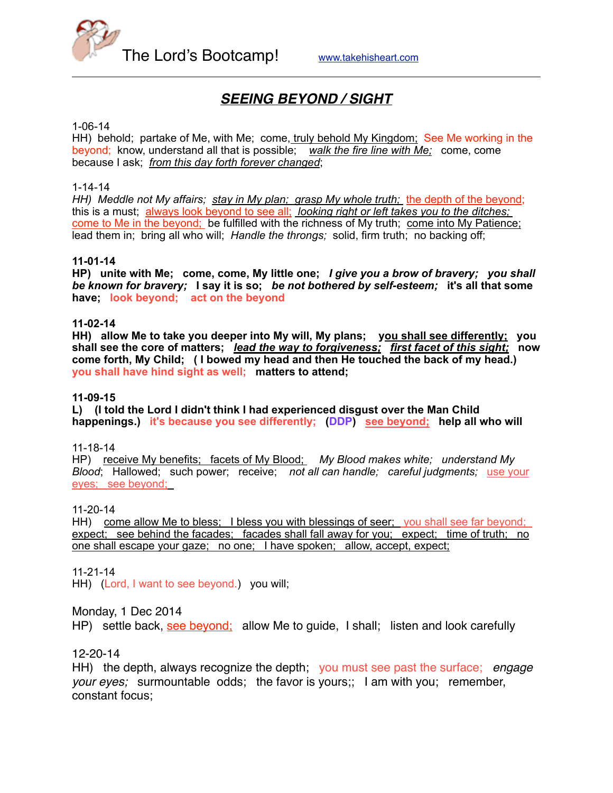

# *SEEING BEYOND / SIGHT*

#### 1-06-14

HH) behold; partake of Me, with Me; come, truly behold My Kingdom; See Me working in the beyond; know, understand all that is possible; *walk the fire line with Me;* come, come because I ask; *from this day forth forever changed*;

#### 1-14-14

HH) Meddle not My affairs; stay in My plan; grasp My whole truth; the depth of the beyond; this is a must; always look beyond to see all; *looking right or left takes you to the ditches;*  come to Me in the beyond; be fulfilled with the richness of My truth; come into My Patience; lead them in; bring all who will; *Handle the throngs;* solid, firm truth; no backing off;

### **11-01-14**

**HP) unite with Me; come, come, My little one;** *I give you a brow of bravery; you shall be known for bravery;* **I say it is so;** *be not bothered by self-esteem;* **it's all that some have; look beyond; act on the beyond**

#### **11-02-14**

**HH) allow Me to take you deeper into My will, My plans; you shall see differently; you shall see the core of matters;** *lead the way to forgiveness;**first facet of this sight;* **now come forth, My Child; ( I bowed my head and then He touched the back of my head.) you shall have hind sight as well; matters to attend;** 

#### **11-09-15**

**L) (I told the Lord I didn't think I had experienced disgust over the Man Child happenings.) it's because you see differently; (DDP) see beyond; help all who will** 

#### 11-18-14

HP) receive My benefits; facets of My Blood; *My Blood makes white; understand My Blood*; Hallowed; such power; receive; *not all can handle; careful judgments;* use your eyes; see beyond;

#### 11-20-14

HH) come allow Me to bless; I bless you with blessings of seer; you shall see far beyond; expect; see behind the facades; facades shall fall away for you; expect; time of truth; no one shall escape your gaze; no one; I have spoken; allow, accept, expect;

#### 11-21-14

HH) (Lord, I want to see beyond.) you will;

### Monday, 1 Dec 2014

HP) settle back, see beyond; allow Me to guide, I shall; listen and look carefully

### 12-20-14

HH) the depth, always recognize the depth; you must see past the surface; *engage your eyes;* surmountable odds; the favor is yours;; I am with you; remember, constant focus;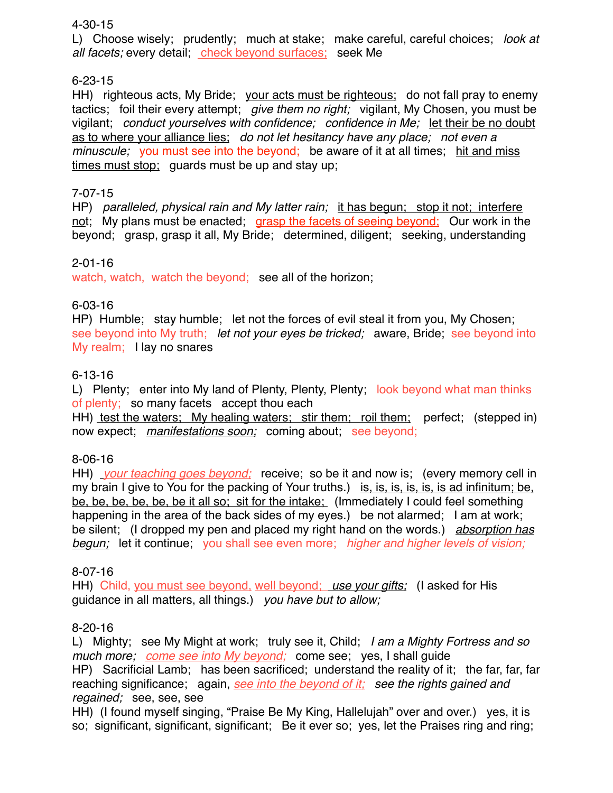### 4-30-15

L) Choose wisely; prudently; much at stake; make careful, careful choices; *look at all facets;* every detail; check beyond surfaces; seek Me

## 6-23-15

HH) righteous acts, My Bride; your acts must be righteous; do not fall pray to enemy tactics; foil their every attempt; *give them no right;* vigilant, My Chosen, you must be vigilant; *conduct yourselves with confidence; confidence in Me;* let their be no doubt as to where your alliance lies; *do not let hesitancy have any place; not even a minuscule;* you must see into the beyond; be aware of it at all times; hit and miss times must stop; guards must be up and stay up;

## 7-07-15

HP) *paralleled, physical rain and My latter rain;* it has begun; stop it not; interfere not; My plans must be enacted; grasp the facets of seeing beyond; Our work in the beyond; grasp, grasp it all, My Bride; determined, diligent; seeking, understanding

### 2-01-16

watch, watch, watch the beyond; see all of the horizon;

## 6-03-16

HP) Humble; stay humble; let not the forces of evil steal it from you, My Chosen; see beyond into My truth; *let not your eyes be tricked;* aware, Bride; see beyond into My realm; I lay no snares

## 6-13-16

L) Plenty; enter into My land of Plenty, Plenty, Plenty; look beyond what man thinks of plenty; so many facets accept thou each

HH) test the waters; My healing waters; stir them; roil them; perfect; (stepped in) now expect; *manifestations soon;* coming about; see beyond;

## 8-06-16

HH) *your teaching goes beyond;* receive; so be it and now is; (every memory cell in my brain I give to You for the packing of Your truths.) is, is, is, is, is, is ad infinitum; be, be, be, be, be, be, be it all so; sit for the intake; (Immediately I could feel something happening in the area of the back sides of my eyes.) be not alarmed; I am at work; be silent; (I dropped my pen and placed my right hand on the words.) *absorption has begun;* let it continue; you shall see even more; *higher and higher levels of vision;*

### 8-07-16

HH) Child, you must see beyond, well beyond; *use your gifts;* (I asked for His guidance in all matters, all things.) *you have but to allow;*

## 8-20-16

L) Mighty; see My Might at work; truly see it, Child; *I am a Mighty Fortress and so much more; come see into My beyond;* come see; yes, I shall guide HP) Sacrificial Lamb; has been sacrificed; understand the reality of it; the far, far, far reaching significance; again, *see into the beyond of it; see the rights gained and regained;* see, see, see

HH) (I found myself singing, "Praise Be My King, Hallelujah" over and over.) yes, it is so; significant, significant, significant; Be it ever so; yes, let the Praises ring and ring;